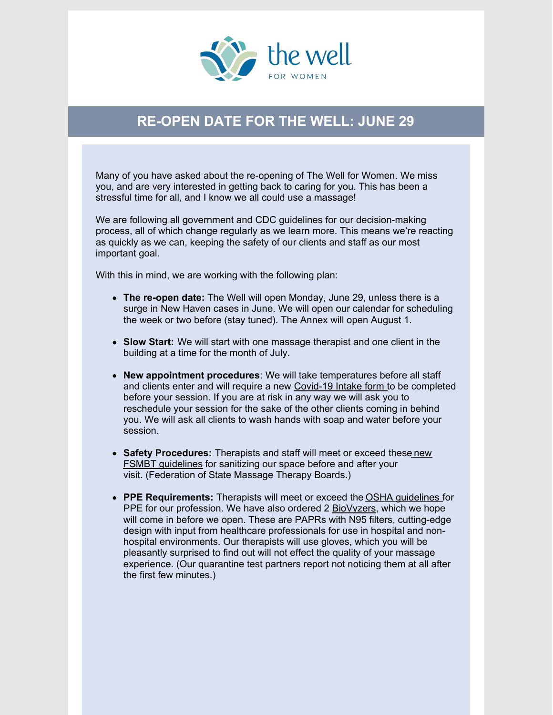

## **RE-OPEN DATE FOR THE WELL: JUNE 29**

Many of you have asked about the re-opening of The Well for Women. We miss you, and are very interested in getting back to caring for you. This has been a stressful time for all, and I know we all could use a massage!

We are following all government and CDC guidelines for our decision-making process, all of which change regularly as we learn more. This means we're reacting as quickly as we can, keeping the safety of our clients and staff as our most important goal.

With this in mind, we are working with the following plan:

- **The re-open date:** The Well will open Monday, June 29, unless there is a surge in New Haven cases in June. We will open our calendar for scheduling the week or two before (stay tuned). The Annex will open August 1.
- **Slow Start:** We will start with one massage therapist and one client in the building at a time for the month of July.
- **New appointment procedures**: We will take temperatures before all staff and clients enter and will require a new [Covid-19](https://files.constantcontact.com/17e59d3d701/0f2be524-9e7f-417d-8352-93c9cff487c1.pdf) Intake form to be completed before your session. If you are at risk in any way we will ask you to reschedule your session for the sake of the other clients coming in behind you. We will ask all clients to wash hands with soap and water before your session.
- **Safety [Procedures:](https://www.fsmtb.org/media/2319/fsmtb20200519guidelinesforpracticecovid-19.pdf)** Therapists and staff will meet or exceed these new FSMBT guidelines for sanitizing our space before and after your visit. (Federation of State Massage Therapy Boards.)
- **PPE Requirements:** Therapists will meet or exceed the OSHA [guidelines](https://0e3c3bc8-a165-4b48-b786-fcfd2e2c3b59.filesusr.com/ugd/c219f7_83d3c823f14546f3a8df1eafca80449a.pdf) for PPE for our profession. We have also ordered 2 [BioVyzers](https://www.indiegogo.com/projects/biovyzr-venture-out-breathe-easy/x/23586318#/), which we hope will come in before we open. These are PAPRs with N95 filters, cutting-edge design with input from healthcare professionals for use in hospital and nonhospital environments. Our therapists will use gloves, which you will be pleasantly surprised to find out will not effect the quality of your massage experience. (Our quarantine test partners report not noticing them at all after the first few minutes.)